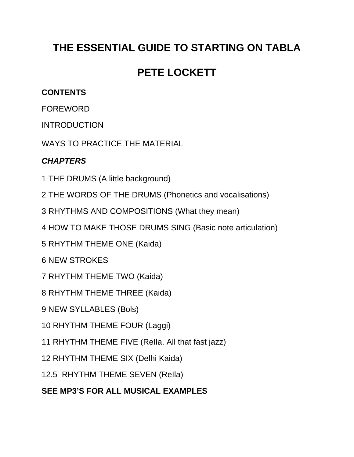## **THE ESSENTIAL GUIDE TO STARTING ON TABLA**

## **PETE LOCKETT**

## **CONTENTS**

FOREWORD

INTRODUCTION

WAYS TO PRACTICE THE MATERIAL

## *CHAPTERS*

1 THE DRUMS (A little background)

2 THE WORDS OF THE DRUMS (Phonetics and vocalisations)

3 RHYTHMS AND COMPOSITIONS (What they mean)

4 HOW TO MAKE THOSE DRUMS SING (Basic note articulation)

5 RHYTHM THEME ONE (Kaida)

6 NEW STROKES

7 RHYTHM THEME TWO (Kaida)

8 RHYTHM THEME THREE (Kaida)

9 NEW SYLLABLES (Bols)

10 RHYTHM THEME FOUR (Laggi)

11 RHYTHM THEME FIVE (ReIla. All that fast jazz)

12 RHYTHM THEME SIX (Delhi Kaida)

12.5 RHYTHM THEME SEVEN (ReIla)

**SEE MP3'S FOR ALL MUSICAL EXAMPLES**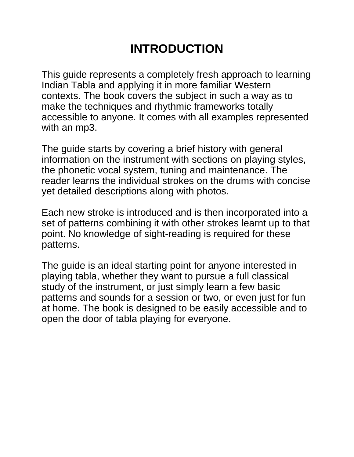# **INTRODUCTION**

This guide represents a completely fresh approach to learning Indian Tabla and applying it in more familiar Western contexts. The book covers the subject in such a way as to make the techniques and rhythmic frameworks totally accessible to anyone. It comes with all examples represented with an mp3.

The guide starts by covering a brief history with general information on the instrument with sections on playing styles, the phonetic vocal system, tuning and maintenance. The reader learns the individual strokes on the drums with concise yet detailed descriptions along with photos.

Each new stroke is introduced and is then incorporated into a set of patterns combining it with other strokes learnt up to that point. No knowledge of sight-reading is required for these patterns.

The guide is an ideal starting point for anyone interested in playing tabla, whether they want to pursue a full classical study of the instrument, or just simply learn a few basic patterns and sounds for a session or two, or even just for fun at home. The book is designed to be easily accessible and to open the door of tabla playing for everyone.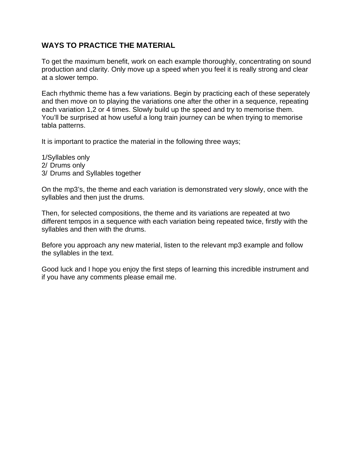## **WAYS TO PRACTICE THE MATERIAL**

To get the maximum benefit, work on each example thoroughly, concentrating on sound production and clarity. Only move up a speed when you feel it is really strong and clear at a slower tempo.

Each rhythmic theme has a few variations. Begin by practicing each of these seperately and then move on to playing the variations one after the other in a sequence, repeating each variation 1,2 or 4 times. Slowly build up the speed and try to memorise them. You'll be surprised at how useful a long train journey can be when trying to memorise tabla patterns.

It is important to practice the material in the following three ways;

1/Syllables only 2/ Drums only 3/ Drums and Syllables together

On the mp3's, the theme and each variation is demonstrated very slowly, once with the syllables and then just the drums.

Then, for selected compositions, the theme and its variations are repeated at two different tempos in a sequence with each variation being repeated twice, firstly with the syllables and then with the drums.

Before you approach any new material, listen to the relevant mp3 example and follow the syllables in the text.

Good luck and I hope you enjoy the first steps of learning this incredible instrument and if you have any comments please email me.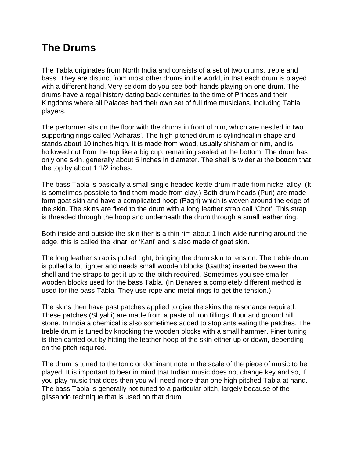## **The Drums**

The Tabla originates from North India and consists of a set of two drums, treble and bass. They are distinct from most other drums in the world, in that each drum is played with a different hand. Very seldom do you see both hands playing on one drum. The drums have a regal history dating back centuries to the time of Princes and their Kingdoms where all Palaces had their own set of full time musicians, including Tabla players.

The performer sits on the floor with the drums in front of him, which are nestled in two supporting rings called 'Adharas'. The high pitched drum is cylindrical in shape and stands about 10 inches high. It is made from wood, usually shisham or nim, and is hollowed out from the top like a big cup, remaining sealed at the bottom. The drum has only one skin, generally about 5 inches in diameter. The shell is wider at the bottom that the top by about 1 1/2 inches.

The bass Tabla is basically a small single headed kettle drum made from nickel alloy. (It is sometimes possible to find them made from clay.) Both drum heads (Puri) are made form goat skin and have a complicated hoop (Pagri) which is woven around the edge of the skin. The skins are fixed to the drum with a long leather strap call 'Chot'. This strap is threaded through the hoop and underneath the drum through a small leather ring.

Both inside and outside the skin ther is a thin rim about 1 inch wide running around the edge. this is called the kinar' or 'Kani' and is also made of goat skin.

The long leather strap is pulled tight, bringing the drum skin to tension. The treble drum is pulled a lot tighter and needs small wooden blocks (Gattha) inserted between the shell and the straps to get it up to the pitch required. Sometimes you see smaller wooden blocks used for the bass Tabla. (In Benares a completely different method is used for the bass Tabla. They use rope and metal rings to get the tension.)

The skins then have past patches applied to give the skins the resonance required. These patches (Shyahi) are made from a paste of iron fillings, flour and ground hill stone. In India a chemical is also sometimes added to stop ants eating the patches. The treble drum is tuned by knocking the wooden blocks with a small hammer. Finer tuning is then carried out by hitting the leather hoop of the skin either up or down, depending on the pitch required.

The drum is tuned to the tonic or dominant note in the scale of the piece of music to be played. It is important to bear in mind that Indian music does not change key and so, if you play music that does then you will need more than one high pitched Tabla at hand. The bass Tabla is generally not tuned to a particular pitch, largely because of the glissando technique that is used on that drum.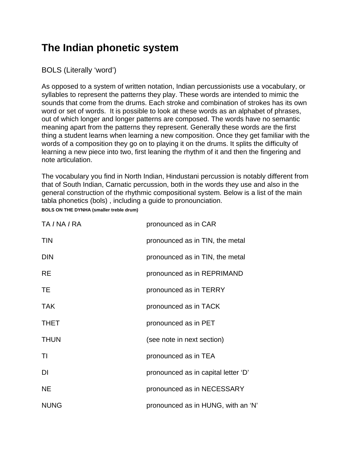## **The Indian phonetic system**

BOLS (Literally 'word')

As opposed to a system of written notation, Indian percussionists use a vocabulary, or syllables to represent the patterns they play. These words are intended to mimic the sounds that come from the drums. Each stroke and combination of strokes has its own word or set of words. It is possible to look at these words as an alphabet of phrases, out of which longer and longer patterns are composed. The words have no semantic meaning apart from the patterns they represent. Generally these words are the first thing a student learns when learning a new composition. Once they get familiar with the words of a composition they go on to playing it on the drums. It splits the difficulty of learning a new piece into two, first leaning the rhythm of it and then the fingering and note articulation.

The vocabulary you find in North Indian, Hindustani percussion is notably different from that of South Indian, Carnatic percussion, both in the words they use and also in the general construction of the rhythmic compositional system. Below is a list of the main tabla phonetics (bols) , including a guide to pronounciation. **BOLS ON THE DYNHA (smaller treble drum)**

| TA / NA / RA | pronounced as in CAR                |
|--------------|-------------------------------------|
| <b>TIN</b>   | pronounced as in TIN, the metal     |
| <b>DIN</b>   | pronounced as in TIN, the metal     |
| <b>RE</b>    | pronounced as in REPRIMAND          |
| TE           | pronounced as in TERRY              |
| <b>TAK</b>   | pronounced as in TACK               |
| <b>THET</b>  | pronounced as in PET                |
| <b>THUN</b>  | (see note in next section)          |
| ΤI           | pronounced as in TEA                |
| DI           | pronounced as in capital letter 'D' |
| <b>NE</b>    | pronounced as in NECESSARY          |
| <b>NUNG</b>  | pronounced as in HUNG, with an 'N'  |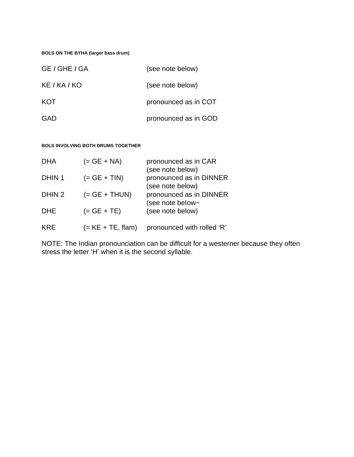**BOLS ON THE BYHA (larger bass drum)**

| GE / GHE / GA       | (see note below)     |
|---------------------|----------------------|
| KE <i>I KA I</i> KO | (see note below)     |
| <b>KOT</b>          | pronounced as in COT |
| <b>GAD</b>          | pronounced as in GOD |

**BOLS INVOLVING BOTH DRUMS TOGETHER**

| <b>DHA</b>        | $(= GE + NA)$       | pronounced as in CAR<br>(see note below)    |
|-------------------|---------------------|---------------------------------------------|
| DHIN <sub>1</sub> | $(= GE + TIN)$      | pronounced as in DINNER<br>(see note below) |
| DHIN <sub>2</sub> | $(= GE + THUN)$     | pronounced as in DINNER<br>(see note below~ |
| <b>DHE</b>        | $(= GE + TE)$       | (see note below)                            |
| <b>KRF</b>        | $(= KE + TE, flam)$ | pronounced with rolled 'R'                  |

NOTE: The Indian pronounciation can be difficult for a westerner because they often stress the letter 'H' when it is the second syllable.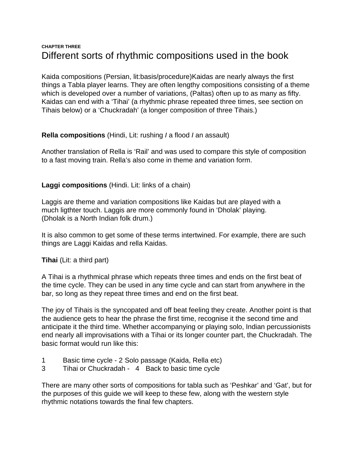## **CHAPTER THREE** Different sorts of rhythmic compositions used in the book

Kaida compositions (Persian, lit:basis/procedure)Kaidas are nearly always the first things a Tabla player learns. They are often lengthy compositions consisting of a theme which is developed over a number of variations, (Paltas) often up to as many as fifty. Kaidas can end with a 'Tihai' (a rhythmic phrase repeated three times, see section on Tihais below) or a 'Chuckradah' (a longer composition of three Tihais.)

### **Rella compositions** (Hindi, Lit: rushing *I* a flood *I* an assault)

Another translation of Rella is 'Rail' and was used to compare this style of composition to a fast moving train. Rella's also come in theme and variation form.

### **Laggi compositions** (Hindi. Lit: links of a chain)

Laggis are theme and variation compositions like Kaidas but are played with a much ligthter touch. Laggis are more commonly found in 'Dholak' playing. (Dholak is a North Indian folk drum.)

It is also common to get some of these terms intertwined. For example, there are such things are Laggi Kaidas and rella Kaidas.

**Tihai** (Lit: a third part)

A Tihai is a rhythmical phrase which repeats three times and ends on the first beat of the time cycle. They can be used in any time cycle and can start from anywhere in the bar, so long as they repeat three times and end on the first beat.

The joy of Tihais is the syncopated and off beat feeling they create. Another point is that the audience gets to hear the phrase the first time, recognise it the second time and anticipate it the third time. Whether accompanying or playing solo, Indian percussionists end nearly all improvisations with a Tihai or its longer counter part, the Chuckradah. The basic format would run like this:

- 1 Basic time cycle 2 Solo passage (Kaida, Rella etc)
- 3 Tihai or Chuckradah 4 Back to basic time cycle

There are many other sorts of compositions for tabla such as 'Peshkar' and 'Gat', but for the purposes of this guide we will keep to these few, along with the western style rhythmic notations towards the final few chapters.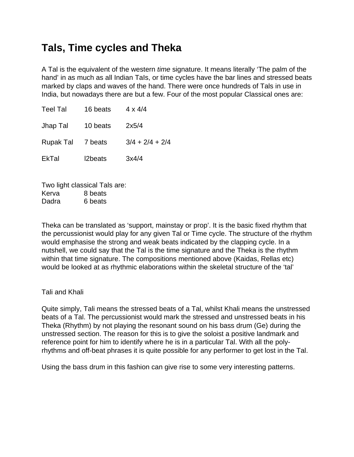## **Tals, Time cycles and Theka**

A Tal is the equivalent of the western *time* signature. It means literally 'The palm of the hand' in as much as all Indian TaIs, or time cycles have the bar lines and stressed beats marked by claps and waves of the hand. There were once hundreds of Tals in use in India, but nowadays there are but a few. Four of the most popular Classical ones are:

| <b>Teel Tal</b>   | 16 beats | $4 \times 4/4$    |
|-------------------|----------|-------------------|
| Jhap Tal          | 10 beats | 2x5/4             |
| Rupak Tal 7 beats |          | $3/4 + 2/4 + 2/4$ |
| <b>EkTal</b>      | 2beats   | 3x4/4             |

Two light classical Tals are: Kerva 8 beats Dadra 6 beats

Theka can be translated as 'support, mainstay or prop'. It is the basic fixed rhythm that the percussionist would play for any given Tal or Time cycle. The structure of the rhythm would emphasise the strong and weak beats indicated by the clapping cycle. In a nutshell, we could say that the Tal is the time signature and the Theka is the rhythm within that time signature. The compositions mentioned above (Kaidas, Rellas etc) would be looked at as rhythmic elaborations within the skeletal structure of the 'tal'

Tali and Khali

Quite simply, Tali means the stressed beats of a Tal, whilst Khali means the unstressed beats of a Tal. The percussionist would mark the stressed and unstressed beats in his Theka (Rhythm) by not playing the resonant sound on his bass drum (Ge) during the unstressed section. The reason for this is to give the soloist a positive landmark and reference point for him to identify where he is in a particular Tal. With all the polyrhythms and off-beat phrases it is quite possible for any performer to get lost in the Tal.

Using the bass drum in this fashion can give rise to some very interesting patterns.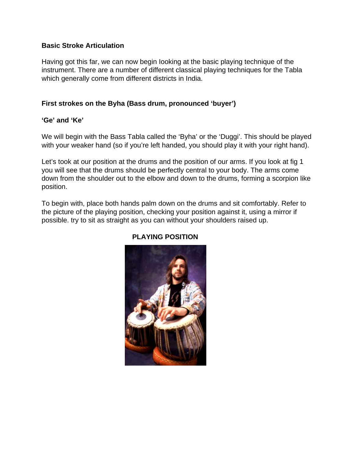### **Basic Stroke Articulation**

Having got this far, we can now begin Iooking at the basic playing technique of the instrument. There are a number of different classical playing techniques for the Tabla which generally come from different districts in India.

### **First strokes on the Byha (Bass drum, pronounced 'buyer')**

### **'Ge' and 'Ke'**

We will begin with the Bass Tabla called the 'Byha' or the 'Duggi'. This should be played with your weaker hand (so if you're left handed, you should play it with your right hand).

Let's took at our position at the drums and the position of our arms. If you look at fig 1 you will see that the drums should be perfectly central to your body. The arms come down from the shoulder out to the elbow and down to the drums, forming a scorpion like position.

To begin with, place both hands palm down on the drums and sit comfortably. Refer to the picture of the playing position, checking your position against it, using a mirror if possible. try to sit as straight as you can without your shoulders raised up.



## **PLAYING POSITION**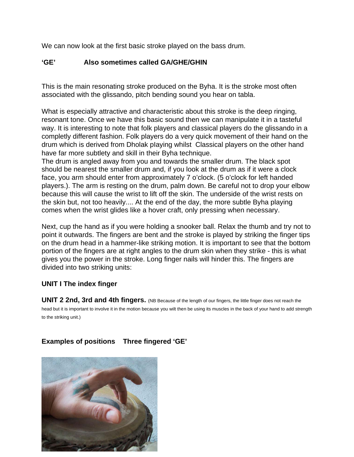We can now look at the first basic stroke played on the bass drum.

### **'GE' Also sometimes called GA/GHE/GHIN**

This is the main resonating stroke produced on the Byha. It is the stroke most often associated with the glissando, pitch bending sound you hear on tabla.

What is especially attractive and characteristic about this stroke is the deep ringing, resonant tone. Once we have this basic sound then we can manipulate it in a tasteful way. It is interesting to note that folk players and classical players do the glissando in a completly different fashion. Folk players do a very quick movement of their hand on the drum which is derived from Dholak pIaying whilst Classical players on the other hand have far more subtlety and skill in their Byha technique.

The drum is angled away from you and towards the smaller drum. The black spot should be nearest the smaller drum and, if you look at the drum as if it were a clock face, you arm should enter from approximately 7 o'clock. (5 o'clock for left handed players.). The arm is resting on the drum, palm down. Be careful not to drop your elbow because this will cause the wrist to lift off the skin. The underside of the wrist rests on the skin but, not too heavily.... At the end of the day, the more subtle Byha playing comes when the wrist glides like a hover craft, only pressing when necessary.

Next, cup the hand as if you were holding a snooker ball. Relax the thumb and try not to point it outwards. The fingers are bent and the stroke is played by striking the finger tips on the drum head in a hammer-like striking motion. It is important to see that the bottom portion of the fingers are at right angles to the drum skin when they strike - this is what gives you the power in the stroke. Long finger nails will hinder this. The fingers are divided into two striking units:

#### **UNIT I The index finger**

**UNIT 2 2nd, 3rd and 4th fingers.** (NB Because of the length of our fingers, the little finger does not reach the head but it is important to involve it in the motion because you wilt then be using its muscles in the back of your hand to add strength to the striking unit.)

## **Examples of positions Three fingered 'GE'**

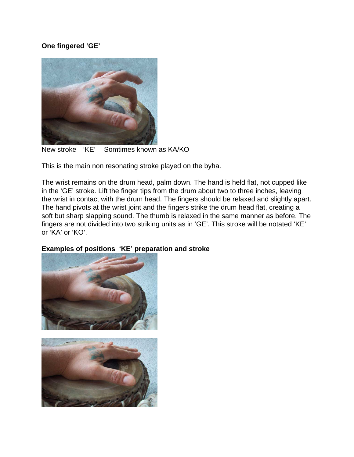## **One fingered 'GE'**



New stroke 'KE' Somtimes known as KA/KO

This is the main non resonating stroke played on the byha.

The wrist remains on the drum head, palm down. The hand is held flat, not cupped like in the 'GE' stroke. Lift the finger tips from the drum about two to three inches, leaving the wrist in contact with the drum head. The fingers should be relaxed and slightly apart. The hand pivots at the wrist joint and the fingers strike the drum head flat, creating a soft but sharp slapping sound. The thumb is relaxed in the same manner as before. The fingers are not divided into two striking units as in 'GE'. This stroke will be notated 'KE' or 'KA' or 'KO'.

## **Examples of positions 'KE' preparation and stroke**

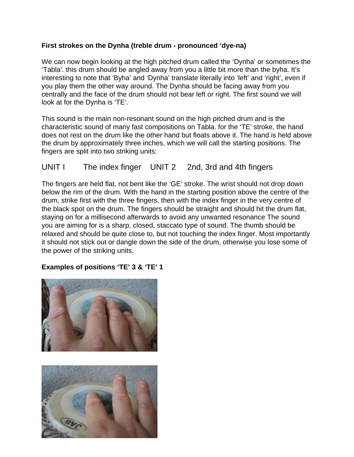### **First strokes on the Dynha (treble drum - pronounced 'dye-na)**

We can now begin looking at the high pitched drum called the 'Dynha' or sometimes the 'Tabla'. this drum should be angled away from you a little bit more than the byha. It's interesting to note that 'Byha' and 'Dynha' translate literally into 'left' and 'right', even if you play them the other way around. The Dynha should be facing away from you centrally and the face of the drum should not bear left or right. The first sound we will look at for the Dynha is 'TE'.

This sound is the main non-resonant sound on the high pitched drum and is the characteristic sound of many fast compositions on Tabla. for the 'TE' stroke, the hand does not rest on the drum like the other hand but floats above it. The hand is held above the drum by approximately three inches, which we will call the starting positions. The fingers are split into two striking units:

## UNIT I The index finger UNIT 2 2nd, 3rd and 4th fingers

The fingers are held flat, not bent like the 'GE' stroke. The wrist should not drop down below the rim of the drum. With the hand in the starting position above the centre of the drum, strike first with the three fingers, then with the index finger in the very centre of the black spot on the drum. The fingers should be straight and should hit the drum flat, staying on for a millisecond afterwards to avoid any unwanted resonance The sound you are aiming for is a sharp, closed, staccato type of sound. The thumb should be relaxed and should be quite close to, but not touching the index finger. Most importantly it should not stick out or dangle down the side of the drum, otherwise you lose some of the power of the striking units.

## **Examples of positions 'TE' 3 & 'TE' 1**



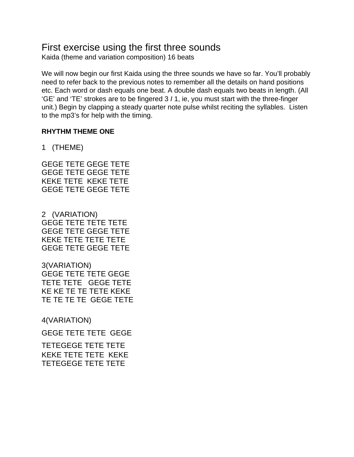## First exercise using the first three sounds

Kaida (theme and variation composition) 16 beats

We will now begin our first Kaida using the three sounds we have so far. You'll probably need to refer back to the previous notes to remember all the details on hand positions etc. Each word or dash equals one beat. A double dash equals two beats in length. (All 'GE' and 'TE' strokes are to be fingered 3 *I* 1, ie, you must start with the three-finger unit.) Begin by clapping a steady quarter note pulse whilst reciting the syllables. Listen to the mp3's for help with the timing.

### **RHYTHM THEME ONE**

1 (THEME)

GEGE TETE GEGE TETE GEGE TETE GEGE TETE KEKE TETE KEKE TETE GEGE TETE GEGE TETE

2 (VARIATION) GEGE TETE TETE TETE GEGE TETE GEGE TETE KEKE TETE TETE TETE GEGE TETE GEGE TETE

3(VARIATION) GEGE TETE TETE GEGE TETE TETE GEGE TETE KE KE TE TE TETE KEKE TE TE TE TE GEGE TETE

4(VARIATION)

GEGE TETE TETE GEGE

TETEGEGE TETE TETE KEKE TETE TETE KEKE TETEGEGE TETE TETE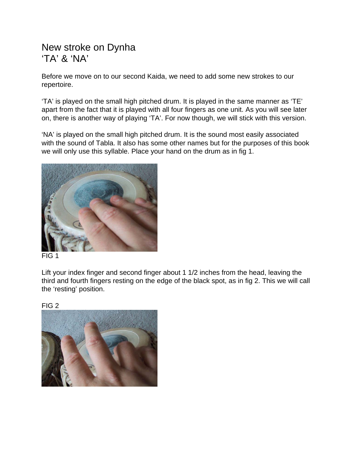## New stroke on Dynha 'TA' & 'NA'

Before we move on to our second Kaida, we need to add some new strokes to our repertoire.

'TA' is played on the small high pitched drum. It is played in the same manner as 'TE' apart from the fact that it is played with all four fingers as one unit. As you will see later on, there is another way of playing 'TA'. For now though, we will stick with this version.

'NA' is played on the small high pitched drum. It is the sound most easily associated with the sound of Tabla. It also has some other names but for the purposes of this book we will only use this syllable. Place your hand on the drum as in fig 1.



FIG 1

Lift your index finger and second finger about 1 1/2 inches from the head, leaving the third and fourth fingers resting on the edge of the black spot, as in fig 2. This we will call the 'resting' position.

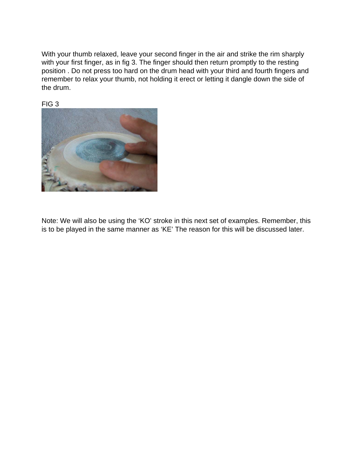With your thumb relaxed, leave your second finger in the air and strike the rim sharply with your first finger, as in fig 3. The finger should then return promptly to the resting position . Do not press too hard on the drum head with your third and fourth fingers and remember to relax your thumb, not holding it erect or letting it dangle down the side of the drum.

FIG 3



Note: We will also be using the 'KO' stroke in this next set of examples. Remember, this is to be played in the same manner as 'KE' The reason for this will be discussed later.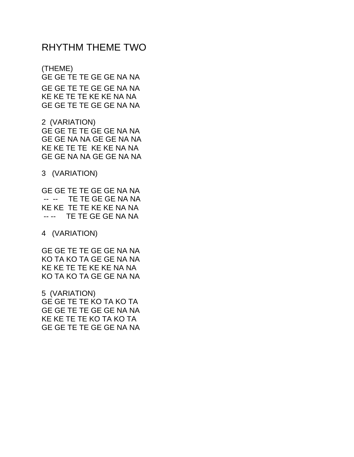## RHYTHM THEME TWO

(THEME) GE GE TE TE GE GE NA NA GE GE TE TE GE GE NA NA KE KE TE TE KE KE NA NA GE GE TE TE GE GE NA NA

2 (VARIATION) GE GE TE TE GE GE NA NA GE GE NA NA GE GE NA NA KE KE TE TE KE KE NA NA GE GE NA NA GE GE NA NA

3 (VARIATION)

GE GE TE TE GE GE NA NA -- -- TE TE GE GE NA NA KE KE TE TE KE KE NA NA -- -- TE TE GE GE NA NA

4 (VARIATION)

GE GE TE TE GE GE NA NA KO TA KO TA GE GE NA NA KE KE TE TE KE KE NA NA KO TA KO TA GE GE NA NA

5 (VARIATION) GE GE TE TE KO TA KO TA GE GE TE TE GE GE NA NA KE KE TE TE KO TA KO TA GE GE TE TE GE GE NA NA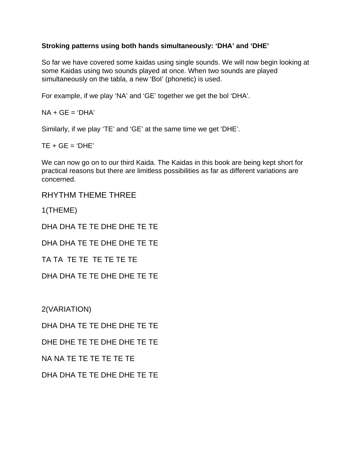### **Stroking patterns using both hands simultaneously: 'DHA' and 'DHE'**

So far we have covered some kaidas using single sounds. We will now begin looking at some Kaidas using two sounds played at once. When two sounds are played simultaneously on the tabla, a new 'BoI' (phonetic) is used.

For example, if we play 'NA' and 'GE' together we get the bol 'DHA'.

 $NA + GF = 'DHA'$ 

Similarly, if we play 'TE' and 'GE' at the same time we get 'DHE'.

 $TE + GE = 'DHE'$ 

We can now go on to our third Kaida. The Kaidas in this book are being kept short for practical reasons but there are limitless possibilities as far as different variations are concerned.

RHYTHM THEME THREE

1(THEME)

DHA DHA TE TE DHE DHE TE TE

DHA DHA TE TE DHE DHE TE TE

TA TA TE TE TE TE TE TE

DHA DHA TE TE DHE DHE TE TE

2(VARIATION)

DHA DHA TE TE DHE DHE TE TE

DHE DHE TE TE DHE DHE TE TE

NA NA TE TE TE TE TE TE

DHA DHA TE TE DHE DHE TE TE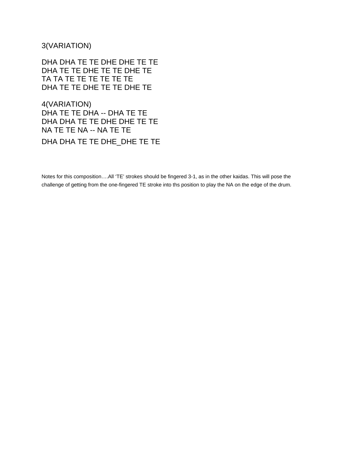3(VARIATION)

DHA DHA TE TE DHE DHE TE TE DHA TE TE DHE TE TE DHE TE TA TA TE TE TE TE TE TE DHA TE TE DHE TE TE DHE TE

4(VARIATION) DHA TE TE DHA -- DHA TE TE DHA DHA TE TE DHE DHE TE TE NA TE TE NA -- NA TE TE DHA DHA TE TE DHE\_DHE TE TE

Notes for this composition….All 'TE' strokes should be fingered 3-1, as in the other kaidas. This will pose the challenge of getting from the one-fingered TE stroke into ths position to play the NA on the edge of the drum.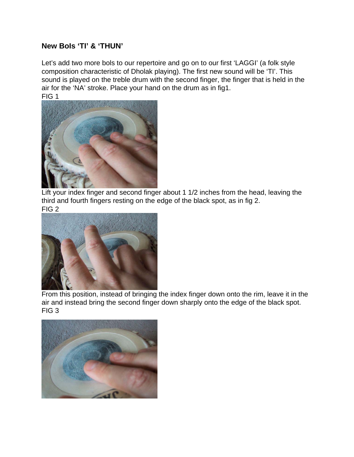## **New BoIs 'TI' & 'THUN'**

Let's add two more bols to our repertoire and go on to our first 'LAGGI' (a folk style composition characteristic of Dholak playing). The first new sound will be 'TI'. This sound is played on the treble drum with the second finger, the finger that is held in the air for the 'NA' stroke. Place your hand on the drum as in fig1. FIG 1



Lift your index finger and second finger about 1 1/2 inches from the head, leaving the third and fourth fingers resting on the edge of the black spot, as in fig 2. FIG 2



From this position, instead of bringing the index finger down onto the rim, leave it in the air and instead bring the second finger down sharply onto the edge of the black spot. FIG 3

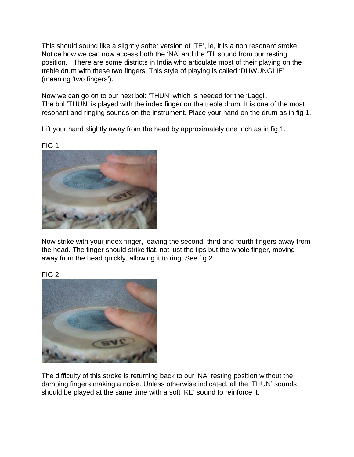This should sound like a slightly softer version of 'TE', ie, it is a non resonant stroke Notice how we can now access both the 'NA' and the 'TI' sound from our resting position. There are some districts in India who articulate most of their playing on the treble drum with these two fingers. This style of playing is called 'DUWUNGLIE' (meaning 'two fingers').

Now we can go on to our next bol: 'THUN' which is needed for the 'Laggi'. The bol 'THUN' is played with the index finger on the treble drum. It is one of the most resonant and ringing sounds on the instrument. Place your hand on the drum as in fig 1.

Lift your hand slightly away from the head by approximately one inch as in fig 1.

FIG 1



Now strike with your index finger, leaving the second, third and fourth fingers away from the head. The finger should strike flat, not just the tips but the whole finger, moving away from the head quickly, allowing it to ring. See fig 2.



The difficulty of this stroke is returning back to our 'NA' resting position without the damping fingers making a noise. Unless otherwise indicated, all the 'THUN' sounds should be played at the same time with a soft 'KE' sound to reinforce it.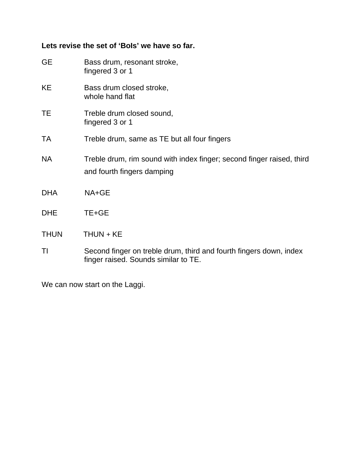## **Lets revise the set of 'BoIs' we have so far.**

| <b>GE</b>   | Bass drum, resonant stroke,<br>fingered 3 or 1                                                             |
|-------------|------------------------------------------------------------------------------------------------------------|
| KE          | Bass drum closed stroke,<br>whole hand flat                                                                |
| TE          | Treble drum closed sound,<br>fingered 3 or 1                                                               |
| TA          | Treble drum, same as TE but all four fingers                                                               |
| <b>NA</b>   | Treble drum, rim sound with index finger; second finger raised, third<br>and fourth fingers damping        |
| <b>DHA</b>  | NA+GE                                                                                                      |
| <b>DHE</b>  | TE+GE                                                                                                      |
| <b>THUN</b> | $THUN + KE$                                                                                                |
| TI          | Second finger on treble drum, third and fourth fingers down, index<br>finger raised. Sounds similar to TE. |

We can now start on the Laggi.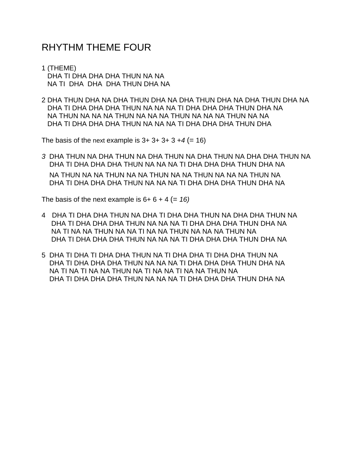## RHYTHM THEME FOUR

- 1 (THEME) DHA TI DHA DHA DHA THUN NA NA NA TI DHA DHA DHA THUN DHA NA
- 2 DHA THUN DHA NA DHA THUN DHA NA DHA THUN DHA NA DHA THUN DHA NA DHA TI DHA DHA DHA THUN NA NA NA TI DHA DHA DHA THUN DHA NA NA THUN NA NA NA THUN NA NA NA THUN NA NA NA THUN NA NA DHA TI DHA DHA DHA THUN NA NA NA TI DHA DHA DHA THUN DHA

The basis of the next example is  $3+3+3+3+4 (= 16)$ 

*3* DHA THUN NA DHA THUN NA DHA THUN NA DHA THUN NA DHA DHA THUN NA DHA TI DHA DHA DHA THUN NA NA NA TI DHA DHA DHA THUN DHA NA NA THUN NA NA THUN NA NA THUN NA NA THUN NA NA NA THUN NA DHA TI DHA DHA DHA THUN NA NA NA TI DHA DHA DHA THUN DHA NA

The basis of the next example is  $6+6+4 (= 16)$ 

- 4 DHA TI DHA DHA THUN NA DHA TI DHA DHA THUN NA DHA DHA THUN NA DHA TI DHA DHA DHA THUN NA NA NA TI DHA DHA DHA THUN DHA NA NA TI NA NA THUN NA NA TI NA NA THUN NA NA NA THUN NA DHA TI DHA DHA DHA THUN NA NA NA TI DHA DHA DHA THUN DHA NA
- 5 DHA TI DHA TI DHA DHA THUN NA TI DHA DHA TI DHA DHA THUN NA DHA TI DHA DHA DHA THUN NA NA NA TI DHA DHA DHA THUN DHA NA NA TI NA TI NA NA THUN NA TI NA NA TI NA NA THUN NA DHA TI DHA DHA DHA THUN NA NA NA TI DHA DHA DHA THUN DHA NA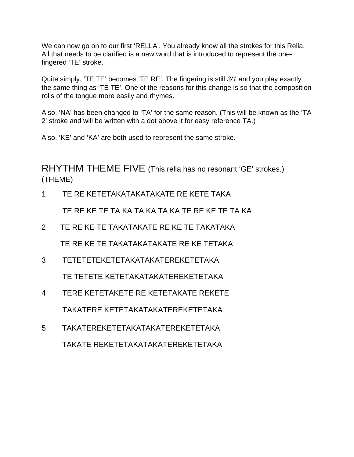We can now go on to our first 'RELLA'. You already know all the strokes for this Rella. All that needs to be clarified is a new word that is introduced to represent the onefingered 'TE' stroke.

Quite simply, 'TE TE' becomes 'TE RE'. The fingering is still *3/1* and you play exactly the same thing as 'TE TE'. One of the reasons for this change is so that the composition rolls of the tongue more easily and rhymes.

Also, 'NA' has been changed to 'TA' for the same reason. (This will be known as the 'TA 2' stroke and will be written with a dot above it for easy reference TA.)

Also, 'KE' and 'KA' are both used to represent the same stroke.

RHYTHM THEME FIVE (This rella has no resonant 'GE' strokes.) (THEME)

1 TE RE KETETAKATAKATAKATE RE KETE TAKA

TE RE KE TE TA KA TA KA TA KA TE RE KE TE TA KA

- 2 TE RE KE TE TAKATAKATE RE KE TE TAKATAKA TE RE KE TE TAKATAKATAKATE RE KE TETAKA
- 3 TETETETEKETETAKATAKATEREKETETAKA TE TETETE KETETAKATAKATEREKETETAKA
- 4 TERE KETETAKETE RE KETETAKATE REKETE TAKATERE KETETAKATAKATEREKETETAKA
- 5 TAKATEREKETETAKATAKATEREKETETAKA TAKATE REKETETAKATAKATEREKETETAKA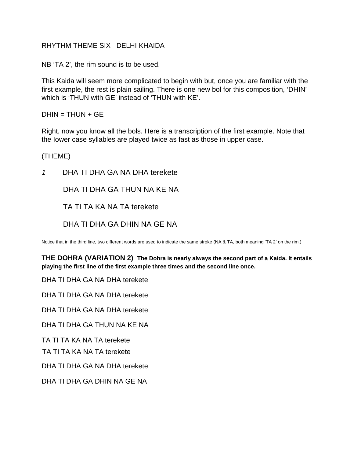#### RHYTHM THEME SIX DELHI KHAIDA

NB 'TA 2', the rim sound is to be used.

This Kaida will seem more complicated to begin with but, once you are familiar with the first example, the rest is plain sailing. There is one new bol for this composition, 'DHIN' which is 'THUN with GE' instead of 'THUN with KE'.

 $DHIN = THUN + GE$ 

Right, now you know all the bols. Here is a transcription of the first example. Note that the Iower case syllables are played twice as fast as those in upper case.

(THEME)

*1* DHA TI DHA GA NA DHA terekete

DHA TI DHA GA THUN NA KE NA

TA TI TA KA NA TA terekete

DHA TI DHA GA DHIN NA GE NA

Notice that in the third line, two different words are used to indicate the same stroke (NA & TA, both meaning 'TA 2' on the rim.)

**THE DOHRA (VARIATION 2) The Dohra is nearly always the second part of a Kaida. It entails playing the first line of the first example three times and the second line once.**

DHA TI DHA GA NA DHA terekete

DHA TI DHA GA NA DHA terekete

DHA TI DHA GA NA DHA terekete

DHA TI DHA GA THUN NA KE NA

TA TI TA KA NA TA terekete

TA TI TA KA NA TA terekete

DHA TI DHA GA NA DHA terekete

DHA TI DHA GA DHIN NA GE NA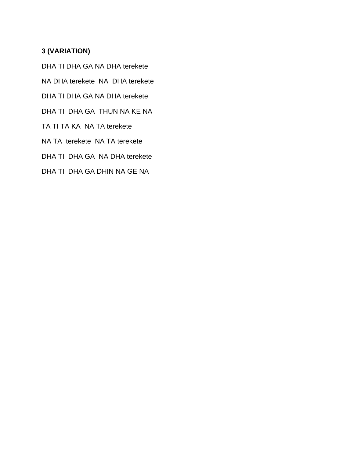## **3 (VARIATION)**

DHA TI DHA GA NA DHA terekete

NA DHA terekete NA DHA terekete

DHA TI DHA GA NA DHA terekete

DHA TI DHA GA THUN NA KE NA

TA TI TA KA NA TA terekete

NA TA terekete NA TA terekete

DHA TI DHA GA NA DHA terekete

DHA TI DHA GA DHIN NA GE NA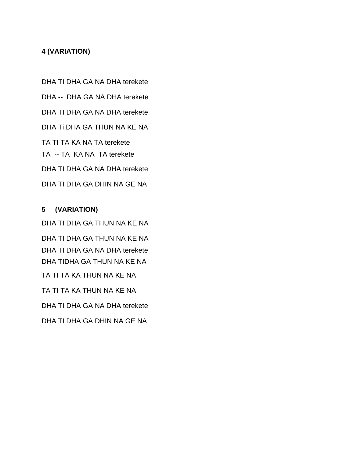## **4 (VARIATION)**

DHA TI DHA GA NA DHA terekete DHA -- DHA GA NA DHA terekete DHA TI DHA GA NA DHA terekete DHA Ti DHA GA THUN NA KE NA TA TI TA KA NA TA terekete TA -- TA KA NA TA terekete DHA TI DHA GA NA DHA terekete DHA TI DHA GA DHIN NA GE NA

## **5 (VARIATION)**

DHA TI DHA GA THUN NA KE NA DHA TI DHA GA THUN NA KE NA DHA TI DHA GA NA DHA terekete DHA TIDHA GA THUN NA KE NA TA TI TA KA THUN NA KE NA TA TI TA KA THUN NA KE NA DHA TI DHA GA NA DHA terekete DHA TI DHA GA DHIN NA GE NA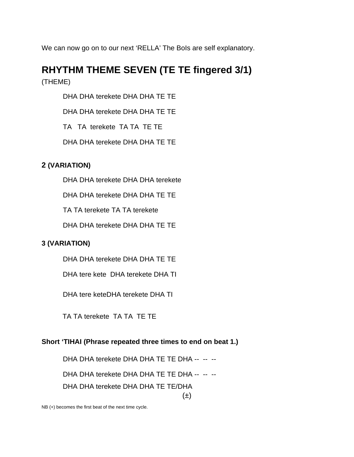We can now go on to our next 'RELLA' The Bols are self explanatory.

# **RHYTHM THEME SEVEN (TE TE fingered 3/1)**

(THEME)

DHA DHA terekete DHA DHA TE TE

DHA DHA terekete DHA DHA TE TE

TA TA terekete TA TA TE TE

DHA DHA terekete DHA DHA TE TE

## **2 (VARIATION)**

DHA DHA terekete DHA DHA terekete

DHA DHA terekete DHA DHA TE TE

TA TA terekete TA TA terekete

DHA DHA terekete DHA DHA TE TE

## **3 (VARIATION)**

DHA DHA terekete DHA DHA TE TE

DHA tere kete DHA terekete DHA TI

DHA tere keteDHA terekete DHA TI

TA TA terekete TA TA TE TE

## **Short 'TIHAI (Phrase repeated three times to end on beat 1.)**

DHA DHA terekete DHA DHA TE TE DHA -- -- --

DHA DHA terekete DHA DHA TE TE DHA -- -- --

DHA DHA terekete DHA DHA TE TE/DHA

 $(\pm)$ 

NB (+) becomes the first beat of the next time cycle.